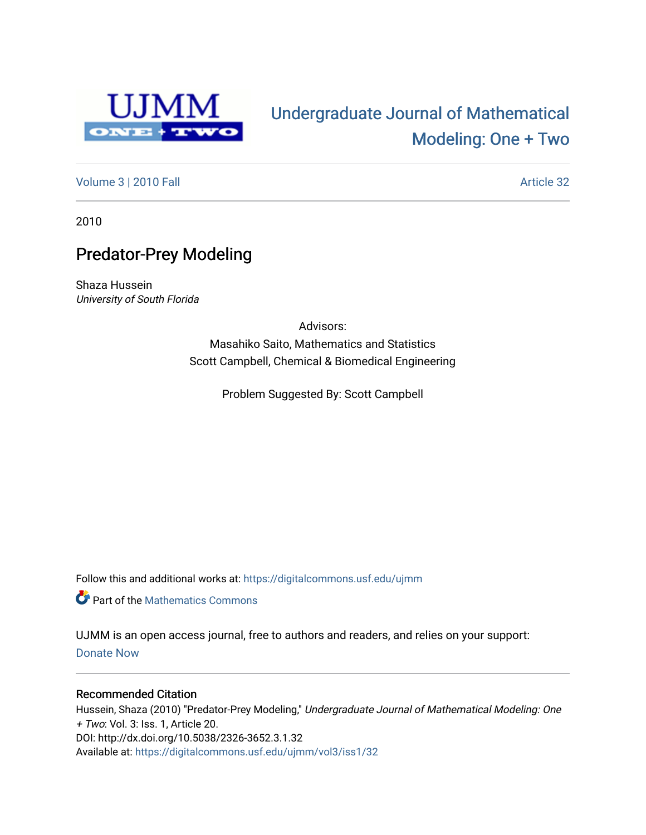

# [Undergraduate Journal of Mathematical](https://digitalcommons.usf.edu/ujmm)  [Modeling: One + Two](https://digitalcommons.usf.edu/ujmm)

[Volume 3](https://digitalcommons.usf.edu/ujmm/vol3) | 2010 Fall Article 32

2010

# Predator-Prey Modeling

Shaza Hussein University of South Florida

> Advisors: Masahiko Saito, Mathematics and Statistics Scott Campbell, Chemical & Biomedical Engineering

> > Problem Suggested By: Scott Campbell

Follow this and additional works at: [https://digitalcommons.usf.edu/ujmm](https://digitalcommons.usf.edu/ujmm?utm_source=digitalcommons.usf.edu%2Fujmm%2Fvol3%2Fiss1%2F32&utm_medium=PDF&utm_campaign=PDFCoverPages) 

Part of the [Mathematics Commons](http://network.bepress.com/hgg/discipline/174?utm_source=digitalcommons.usf.edu%2Fujmm%2Fvol3%2Fiss1%2F32&utm_medium=PDF&utm_campaign=PDFCoverPages)

UJMM is an open access journal, free to authors and readers, and relies on your support: [Donate Now](https://giving.usf.edu/online/gift/f/420132/) 

#### Recommended Citation

Hussein, Shaza (2010) "Predator-Prey Modeling," Undergraduate Journal of Mathematical Modeling: One + Two: Vol. 3: Iss. 1, Article 20. DOI: http://dx.doi.org/10.5038/2326-3652.3.1.32 Available at: [https://digitalcommons.usf.edu/ujmm/vol3/iss1/32](https://digitalcommons.usf.edu/ujmm/vol3/iss1/32?utm_source=digitalcommons.usf.edu%2Fujmm%2Fvol3%2Fiss1%2F32&utm_medium=PDF&utm_campaign=PDFCoverPages)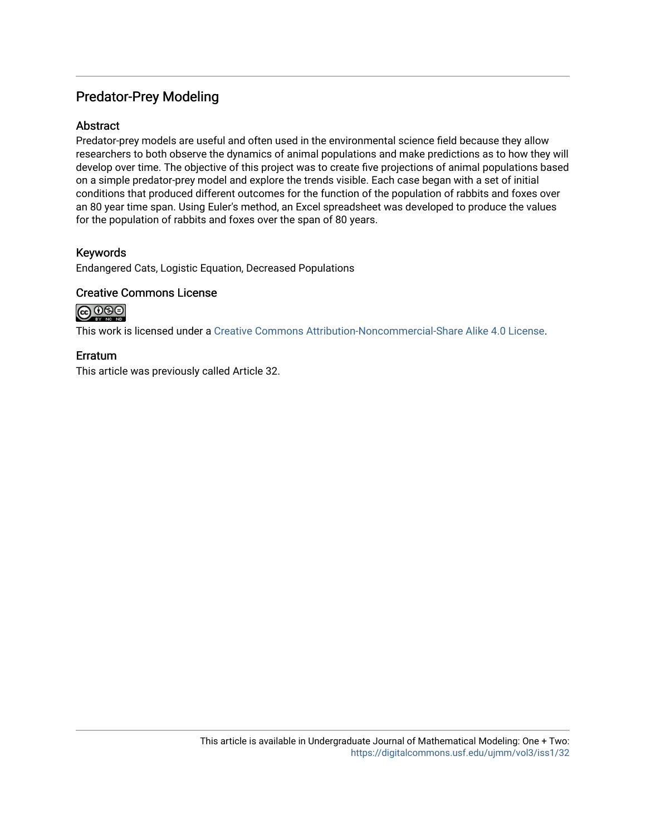## Predator-Prey Modeling

### **Abstract**

Predator-prey models are useful and often used in the environmental science field because they allow researchers to both observe the dynamics of animal populations and make predictions as to how they will develop over time. The objective of this project was to create five projections of animal populations based on a simple predator-prey model and explore the trends visible. Each case began with a set of initial conditions that produced different outcomes for the function of the population of rabbits and foxes over an 80 year time span. Using Euler's method, an Excel spreadsheet was developed to produce the values for the population of rabbits and foxes over the span of 80 years.

### Keywords

Endangered Cats, Logistic Equation, Decreased Populations

#### Creative Commons License

# @0⊛⊚

This work is licensed under a [Creative Commons Attribution-Noncommercial-Share Alike 4.0 License](https://creativecommons.org/licenses/by-nc-sa/4.0/).

### Erratum

This article was previously called Article 32.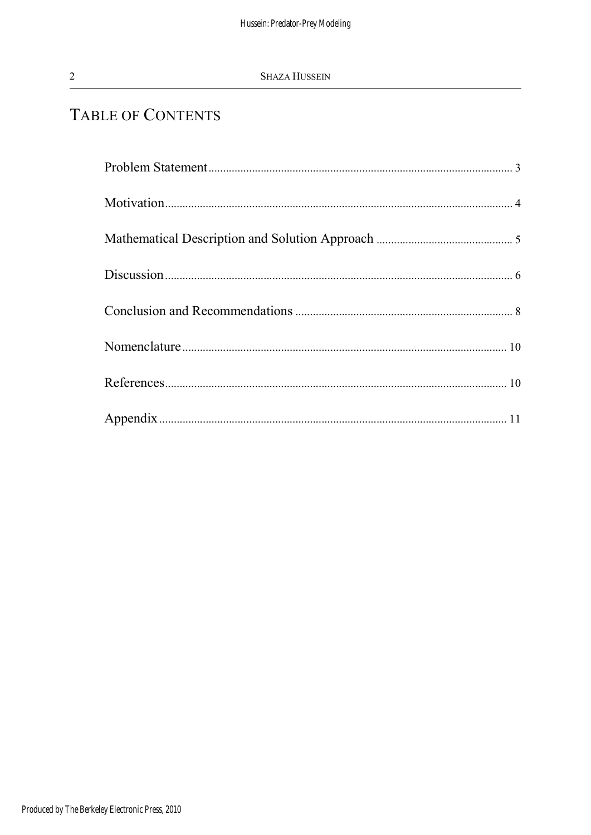# TABLE OF CONTENTS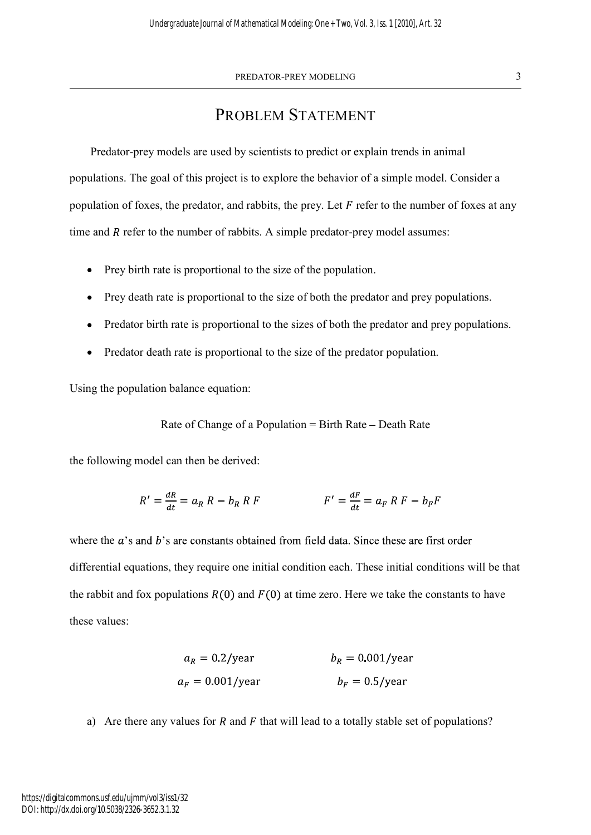# PROBLEM STATEMENT

Predator-prey models are used by scientists to predict or explain trends in animal populations. The goal of this project is to explore the behavior of a simple model. Consider a population of foxes, the predator, and rabbits, the prey. Let  $F$  refer to the number of foxes at any time and  $R$  refer to the number of rabbits. A simple predator-prey model assumes:

- Prey birth rate is proportional to the size of the population.
- Prey death rate is proportional to the size of both the predator and prey populations.
- Predator birth rate is proportional to the sizes of both the predator and prey populations.
- Predator death rate is proportional to the size of the predator population.  $\bullet$

Using the population balance equation:

Rate of Change of a Population  $=$  Birth Rate  $-$  Death Rate

the following model can then be derived:

$$
R' = \frac{dR}{dt} = a_R R - b_R R F
$$
  

$$
F' = \frac{dF}{dt} = a_F R F - b_F F
$$

where the  $a$ 's and  $b$ 's are constants obtained from field data. Since these are first order differential equations, they require one initial condition each. These initial conditions will be that the rabbit and fox populations  $R(0)$  and  $F(0)$  at time zero. Here we take the constants to have these values:

$$
a_R = 0.2/\text{year}
$$
  
\n
$$
b_R = 0.001/\text{year}
$$
  
\n
$$
b_F = 0.5/\text{year}
$$

a) Are there any values for R and F that will lead to a totally stable set of populations?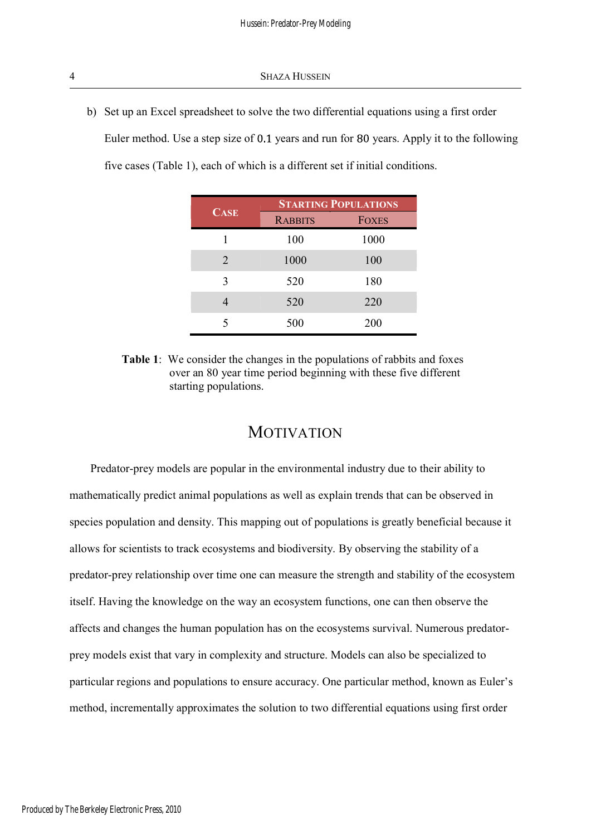b) Set up an Excel spreadsheet to solve the two differential equations using a first order Euler method. Use a step size of  $0.1$  years and run for 80 years. Apply it to the following five cases (Table 1), each of which is a different set if initial conditions.

| <b>CASE</b>    | <b>STARTING POPULATIONS</b> |              |
|----------------|-----------------------------|--------------|
|                | <b>RABBITS</b>              | <b>FOXES</b> |
|                | 100                         | 1000         |
| $\overline{2}$ | 1000                        | 100          |
| 3              | 520                         | 180          |
| 4              | 520                         | 220          |
| 5              | 500                         | 200          |

Table 1: We consider the changes in the populations of rabbits and foxes over an 80 year time period beginning with these five different starting populations.

## MOTIVATION

Predator-prey models are popular in the environmental industry due to their ability to mathematically predict animal populations as well as explain trends that can be observed in species population and density. This mapping out of populations is greatly beneficial because it allows for scientists to track ecosystems and biodiversity. By observing the stability of a predator-prey relationship over time one can measure the strength and stability of the ecosystem itself. Having the knowledge on the way an ecosystem functions, one can then observe the affects and changes the human population has on the ecosystems survival. Numerous predatorprey models exist that vary in complexity and structure. Models can also be specialized to particular regions and populations to ensure accuracy. One particular method, known as Euler method, incrementally approximates the solution to two differential equations using first order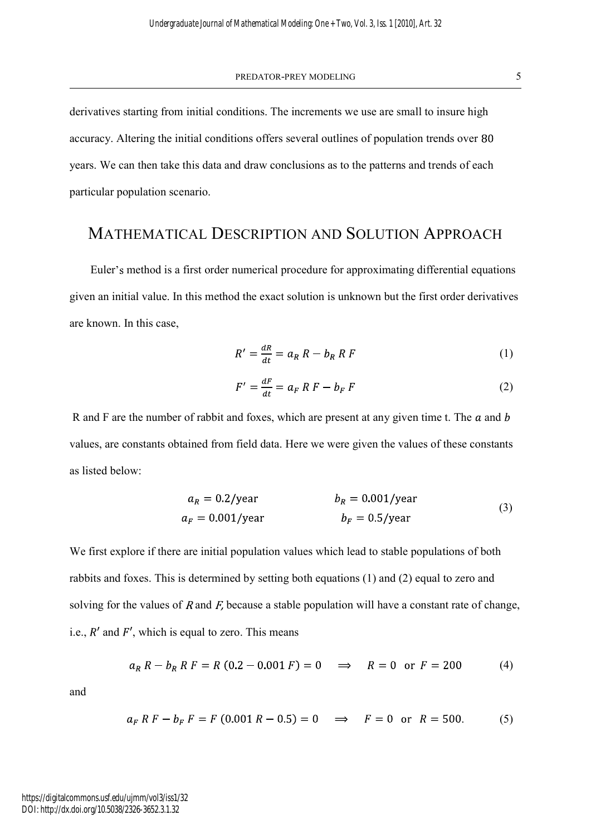PREDATOR-PREY MODELING 5

derivatives starting from initial conditions. The increments we use are small to insure high accuracy. Altering the initial conditions offers several outlines of population trends over 80 years. We can then take this data and draw conclusions as to the patterns and trends of each particular population scenario.

### MATHEMATICAL DESCRIPTION AND SOLUTION APPROACH

Euler's method is a first order numerical procedure for approximating differential equations given an initial value. In this method the exact solution is unknown but the first order derivatives are known. In this case, **MATHEMATICAL DESCRIPTION AND SOLUTION APPRC**<br>
Euler's method is a first order numerical procedure for approximating differential<br>
given an initial value. In this method the exact solution is unknown but the first order<br>

$$
R' = \frac{dR}{dt} = a_R R - b_R R F \tag{1}
$$

$$
F' = \frac{dF}{dt} = a_F R F - b_F F \tag{2}
$$

R and F are the number of rabbit and foxes, which are present at any given time t. The  $a$  and  $b$ values, are constants obtained from field data. Here we were given the values of these constants

$$
a_R = 0.2/\text{year}
$$
  
\n
$$
b_R = 0.001/\text{year}
$$
  
\n
$$
b_F = 0.5/\text{year}
$$
 (3)

We first explore if there are initial population values which lead to stable populations of both rabbits and foxes. This is determined by setting both equations (1) and (2) equal to zero and solving for the values of R and  $F$ , because a stable population will have a constant rate of change, i.e.,  $R'$  and  $F'$ , which is equal to zero. This means

$$
a_R R - b_R R F = R (0.2 - 0.001 F) = 0 \implies R = 0 \text{ or } F = 200 \tag{4}
$$

and

$$
a_F R F - b_F F = F (0.001 R - 0.5) = 0 \implies F = 0 \text{ or } R = 500. \tag{5}
$$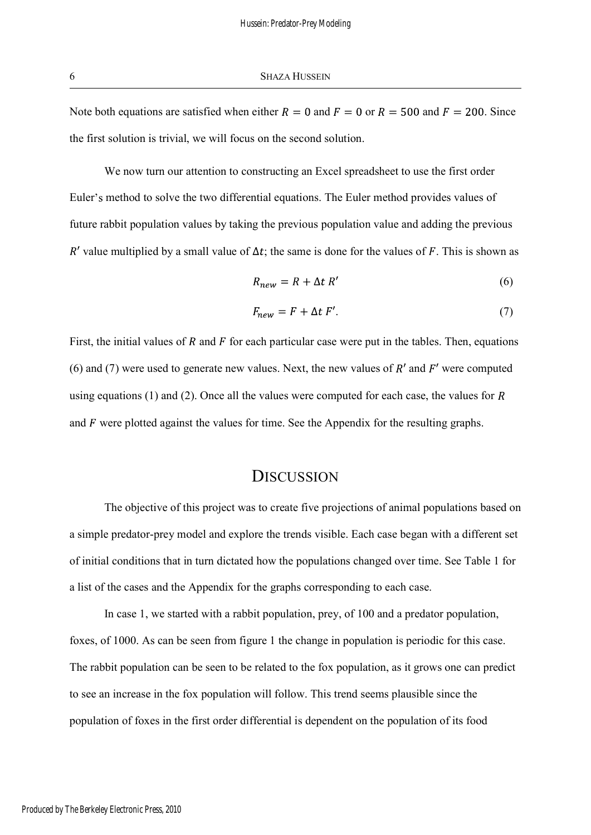Note both equations are satisfied when either  $R = 0$  and  $F = 0$  or  $R = 500$  and  $F = 200$ . Since the first solution is trivial, we will focus on the second solution.

We now turn our attention to constructing an Excel spreadsheet to use the first order Euler's method to solve the two differential equations. The Euler method provides values of future rabbit population values by taking the previous population value and adding the previous R' value multiplied by a small value of  $\Delta t$ ; the same is done for the values of F. This is shown as

$$
R_{new} = R + \Delta t \, R' \tag{6}
$$

$$
F_{new} = F + \Delta t \ F'. \tag{7}
$$

First, the initial values of  $R$  and  $F$  for each particular case were put in the tables. Then, equations (6) and (7) were used to generate new values. Next, the new values of  $R'$  and  $F'$  were computed using equations (1) and (2). Once all the values were computed for each case, the values for  $R$ and  $\ddot{F}$  were plotted against the values for time. See the Appendix for the resulting graphs.

### **DISCUSSION**

The objective of this project was to create five projections of animal populations based on a simple predator-prey model and explore the trends visible. Each case began with a different set of initial conditions that in turn dictated how the populations changed over time. See Table 1 for a list of the cases and the Appendix for the graphs corresponding to each case.

In case 1, we started with a rabbit population, prey, of 100 and a predator population, foxes, of 1000. As can be seen from figure 1 the change in population is periodic for this case. The rabbit population can be seen to be related to the fox population, as it grows one can predict to see an increase in the fox population will follow. This trend seems plausible since the population of foxes in the first order differential is dependent on the population of its food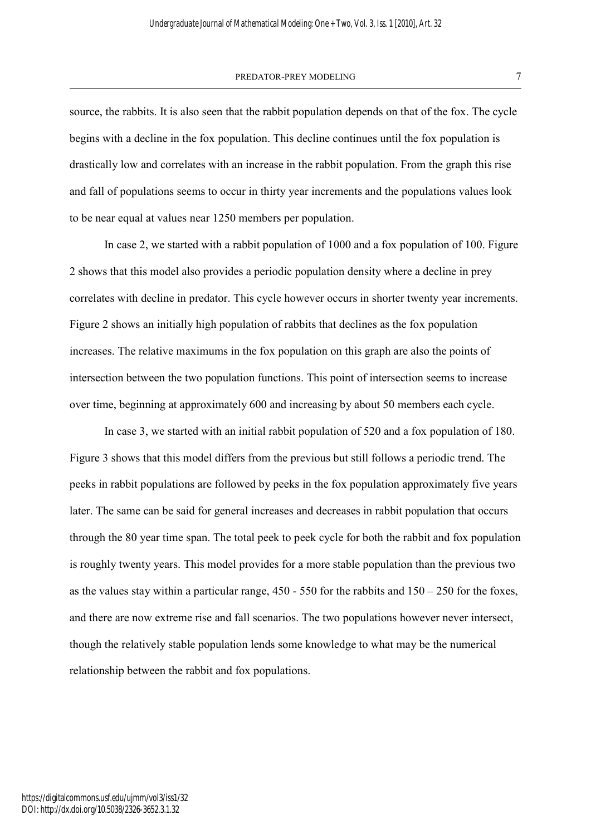#### PREDATOR-PREY MODELING 7

source, the rabbits. It is also seen that the rabbit population depends on that of the fox. The cycle begins with a decline in the fox population. This decline continues until the fox population is drastically low and correlates with an increase in the rabbit population. From the graph this rise and fall of populations seems to occur in thirty year increments and the populations values look to be near equal at values near 1250 members per population.

In case 2, we started with a rabbit population of 1000 and a fox population of 100. Figure 2 shows that this model also provides a periodic population density where a decline in prey correlates with decline in predator. This cycle however occurs in shorter twenty year increments. Figure 2 shows an initially high population of rabbits that declines as the fox population increases. The relative maximums in the fox population on this graph are also the points of intersection between the two population functions. This point of intersection seems to increase over time, beginning at approximately 600 and increasing by about 50 members each cycle.

In case 3, we started with an initial rabbit population of 520 and a fox population of 180. Figure 3 shows that this model differs from the previous but still follows a periodic trend. The peeks in rabbit populations are followed by peeks in the fox population approximately five years later. The same can be said for general increases and decreases in rabbit population that occurs through the 80 year time span. The total peek to peek cycle for both the rabbit and fox population is roughly twenty years. This model provides for a more stable population than the previous two as the values stay within a particular range,  $450 - 550$  for the rabbits and  $150 - 250$  for the foxes, and there are now extreme rise and fall scenarios. The two populations however never intersect, though the relatively stable population lends some knowledge to what may be the numerical relationship between the rabbit and fox populations.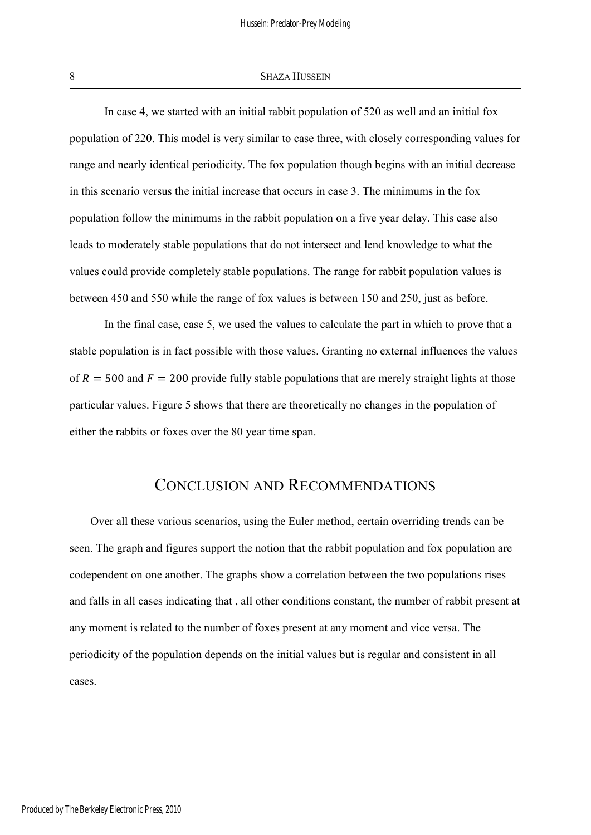#### 8 SHAZA HUSSEIN

In case 4, we started with an initial rabbit population of 520 as well and an initial fox population of 220. This model is very similar to case three, with closely corresponding values for range and nearly identical periodicity. The fox population though begins with an initial decrease in this scenario versus the initial increase that occurs in case 3. The minimums in the fox population follow the minimums in the rabbit population on a five year delay. This case also leads to moderately stable populations that do not intersect and lend knowledge to what the values could provide completely stable populations. The range for rabbit population values is between 450 and 550 while the range of fox values is between 150 and 250, just as before.

In the final case, case 5, we used the values to calculate the part in which to prove that a stable population is in fact possible with those values. Granting no external influences the values of  $R = 500$  and  $F = 200$  provide fully stable populations that are merely straight lights at those particular values. Figure 5 shows that there are theoretically no changes in the population of either the rabbits or foxes over the 80 year time span.

### CONCLUSION AND RECOMMENDATIONS

Over all these various scenarios, using the Euler method, certain overriding trends can be seen. The graph and figures support the notion that the rabbit population and fox population are codependent on one another. The graphs show a correlation between the two populations rises and falls in all cases indicating that , all other conditions constant, the number of rabbit present at any moment is related to the number of foxes present at any moment and vice versa. The periodicity of the population depends on the initial values but is regular and consistent in all cases.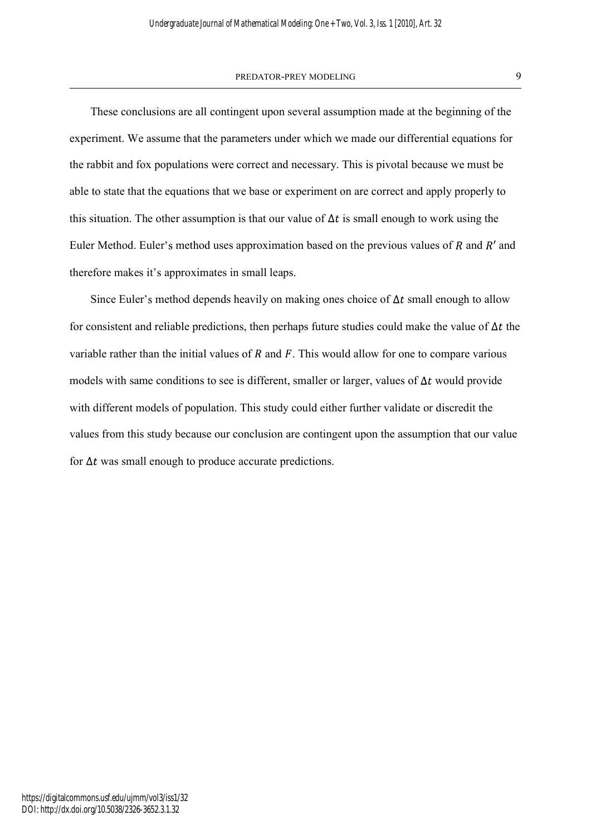#### PREDATOR-PREY MODELING 9

These conclusions are all contingent upon several assumption made at the beginning of the experiment. We assume that the parameters under which we made our differential equations for the rabbit and fox populations were correct and necessary. This is pivotal because we must be able to state that the equations that we base or experiment on are correct and apply properly to this situation. The other assumption is that our value of  $\Delta t$  is small enough to work using the Euler Method. Euler's method uses approximation based on the previous values of  $R$  and  $R'$  and therefore makes it's approximates in small leaps.

Since Euler's method depends heavily on making ones choice of  $\Delta t$  small enough to allow for consistent and reliable predictions, then perhaps future studies could make the value of  $\Delta t$  the variable rather than the initial values of R and F. This would allow for one to compare various models with same conditions to see is different, smaller or larger, values of  $\Delta t$  would provide with different models of population. This study could either further validate or discredit the values from this study because our conclusion are contingent upon the assumption that our value for  $\Delta t$  was small enough to produce accurate predictions.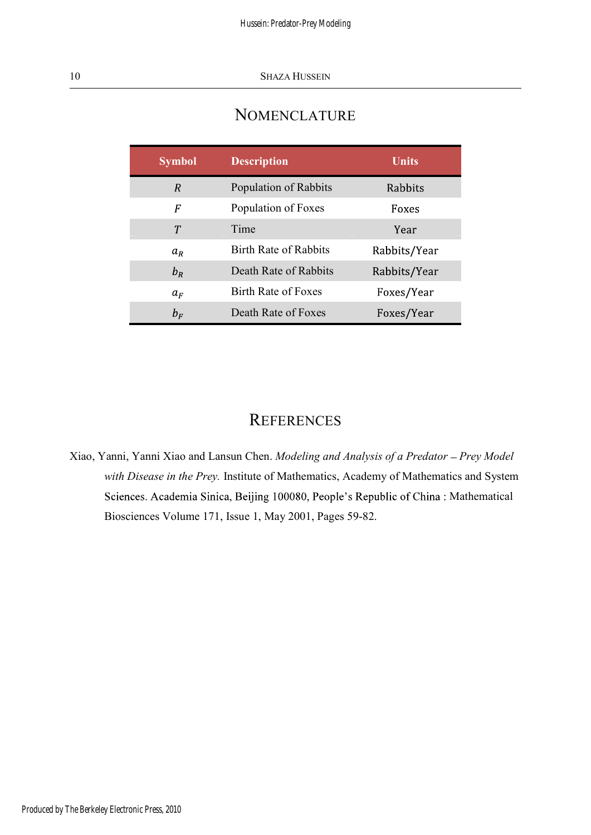# NOMENCLATURE

| <b>Symbol</b> | <b>Description</b>           | <b>Units</b> |
|---------------|------------------------------|--------------|
| R             | Population of Rabbits        | Rabbits      |
| F             | Population of Foxes          | Foxes        |
| Т             | Time                         | Year         |
| $a_R$         | <b>Birth Rate of Rabbits</b> | Rabbits/Year |
| $b_R$         | Death Rate of Rabbits        | Rabbits/Year |
| $a_F$         | <b>Birth Rate of Foxes</b>   | Foxes/Year   |
| $b_F$         | Death Rate of Foxes          | Foxes/Year   |

## **REFERENCES**

Xiao, Yanni, Yanni Xiao and Lansun Chen. Modeling and Analysis of a Predator - Prey Model with Disease in the Prey. Institute of Mathematics, Academy of Mathematics and System Sciences. Academia Sinica, Beijing 100080, People's Republic of China: Mathematical Biosciences Volume 171, Issue 1, May 2001, Pages 59-82.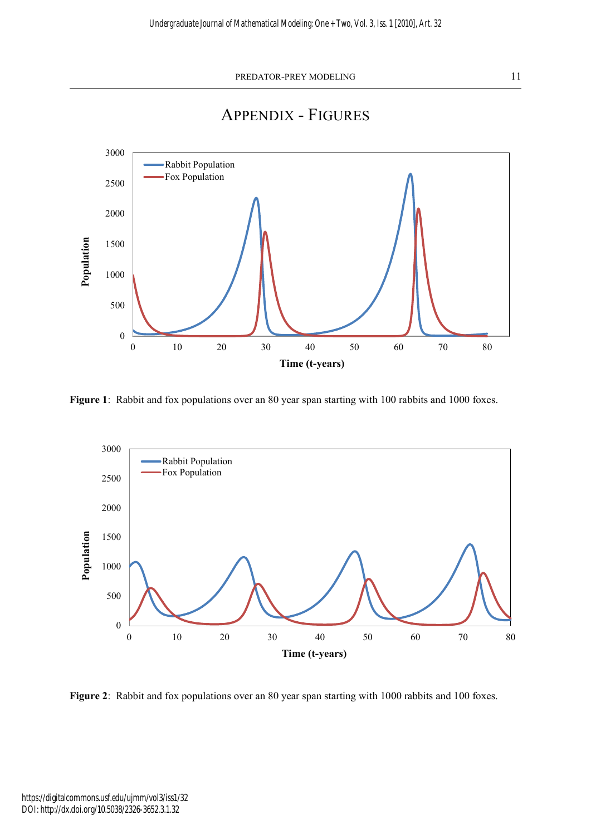

APPENDIX - FIGURES

Figure 1: Rabbit and fox populations over an 80 year span starting with 100 rabbits and 1000 foxes.



Figure 2: Rabbit and fox populations over an 80 year span starting with 1000 rabbits and 100 foxes.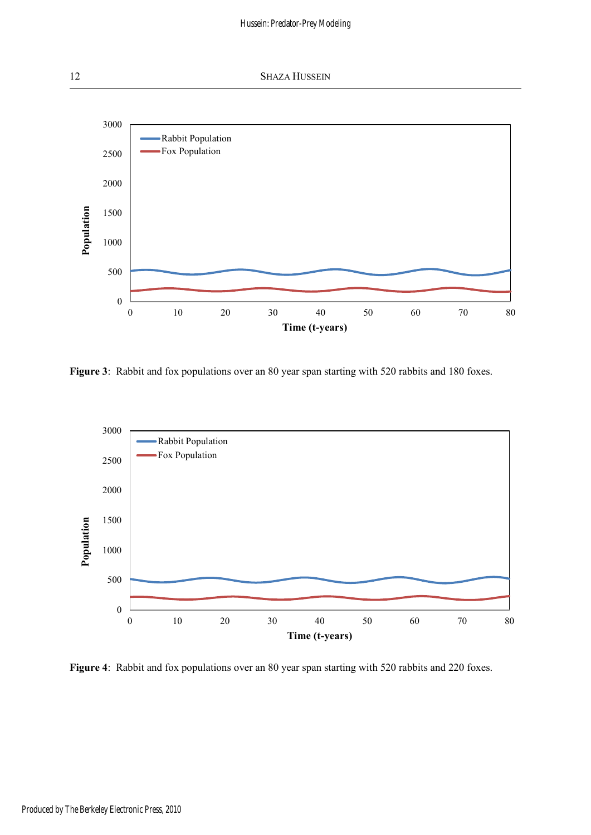

Figure 3: Rabbit and fox populations over an 80 year span starting with 520 rabbits and 180 foxes.



Figure 4: Rabbit and fox populations over an 80 year span starting with 520 rabbits and 220 foxes.